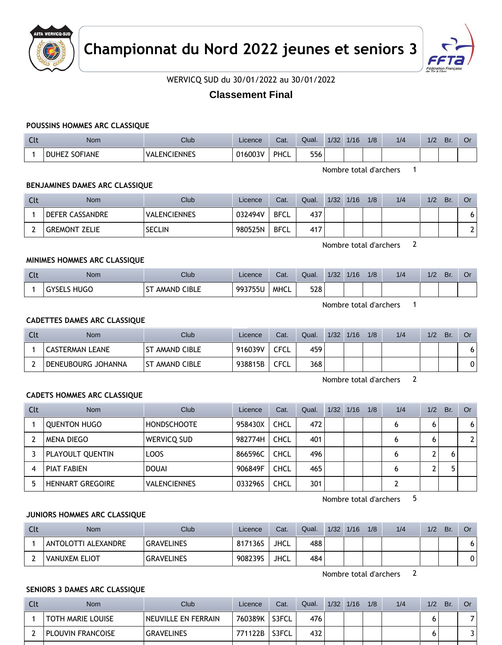



WERVICQ SUD du 30/01/2022 au 30/01/2022

# **Classement Final**

# **POUSSINS HOMMES ARC CLASSIQUE**

| $\sim$ 1.<br>นเ | Nom                            | Club                | Licence | Cat.        | Qual. | 1/32 | 1/16 | 1/8 | 1/4 | 1/2 | <b>Br</b> | Οı |
|-----------------|--------------------------------|---------------------|---------|-------------|-------|------|------|-----|-----|-----|-----------|----|
|                 | <b>SOFIANE</b><br><b>DUHEZ</b> | <b>VALENCIENNES</b> | 016003V | <b>PHCL</b> | 556   |      |      |     |     |     |           |    |

Nombre total d'archers 1

# **BENJAMINES DAMES ARC CLASSIQUE**

| Clt | <b>Nom</b>             | <b>Club</b>         | Licence | Cat.        | Qual. | 1/32 | 1/16 | 1/8 | 1/4 | 1/2 | Br. | Or |
|-----|------------------------|---------------------|---------|-------------|-------|------|------|-----|-----|-----|-----|----|
|     | <b>DEFER CASSANDRE</b> | <b>VALENCIENNES</b> | 032494V | <b>BFCL</b> | 437   |      |      |     |     |     |     |    |
|     | <b>GREMONT ZELIE</b>   | <b>SECLIN</b>       | 980525N | <b>BFCL</b> | 417   |      |      |     |     |     |     |    |

Nombre total d'archers 2

# **MINIMES HOMMES ARC CLASSIQUE**

| Clt | <b>Nom</b>            | Club                                               | Licence | Cat.        | Qual. | 1/32 | 1/16 | 1/8 | 1/4 | 1/2 | Br. | Or |
|-----|-----------------------|----------------------------------------------------|---------|-------------|-------|------|------|-----|-----|-----|-----|----|
|     | HUGC<br><b>GYSELS</b> | $\sim$<br><b>CIBLE</b><br>AMAND <sup>/</sup><br>וכ | 993755U | <b>MHCL</b> | 528   |      |      |     |     |     |     |    |

Nombre total d'archers 1

# **CADETTES DAMES ARC CLASSIQUE**

| Clt | <b>Nom</b>             | Club                  | Licence | Cat. | Qual. | 1/32 | 1/16 | 1/8 | 1/4 | 1/2 | Br. | Or |
|-----|------------------------|-----------------------|---------|------|-------|------|------|-----|-----|-----|-----|----|
|     | <b>CASTERMAN LEANE</b> | T AMAND CIBLE         | 916039V | CFCL | 459   |      |      |     |     |     |     | 6  |
|     | DENEUBOURG JOHANNA     | <b>ST AMAND CIBLE</b> | 938815B | CFCL | 368   |      |      |     |     |     |     | 0  |

Nombre total d'archers 2

### **CADETS HOMMES ARC CLASSIQUE**

| Clt | <b>Nom</b>              | Club                | Licence | Cat.        | Qual. | 1/32 | 1/16 | 1/8 | 1/4 | 1/2 | Br. | Or |
|-----|-------------------------|---------------------|---------|-------------|-------|------|------|-----|-----|-----|-----|----|
|     | <b>QUENTON HUGO</b>     | <b>HONDSCHOOTE</b>  | 958430X | <b>CHCL</b> | 472   |      |      |     | 6   | 6   |     | 6  |
|     | MENA DIEGO              | <b>WERVICO SUD</b>  | 982774H | <b>CHCL</b> | 401   |      |      |     | 6   | 6   |     |    |
|     | PLAYOULT QUENTIN        | <b>LOOS</b>         | 866596C | <b>CHCL</b> | 496   |      |      |     | 0   |     |     |    |
| 4   | <b>PIAT FABIEN</b>      | <b>DOUAI</b>        | 906849F | <b>CHCL</b> | 465   |      |      |     | 6   |     |     |    |
|     | <b>HENNART GREGOIRE</b> | <b>VALENCIENNES</b> | 033296S | <b>CHCL</b> | 301   |      |      |     |     |     |     |    |

Nombre total d'archers 5

### **JUNIORS HOMMES ARC CLASSIQUE**

| Clt | <b>Nom</b>          | Club              | Licence | Cat.        | Qual. | 1/32 | 1/16 | 1/8 | 1/4 | 1/2 | Br. | Or |
|-----|---------------------|-------------------|---------|-------------|-------|------|------|-----|-----|-----|-----|----|
|     | ANTOLOTTI ALEXANDRE | <b>GRAVELINES</b> | 817136S | <b>JHCL</b> | 488   |      |      |     |     |     |     |    |
|     | VANUXEM ELIOT       | <b>GRAVELINES</b> | 908239S | <b>JHCL</b> | 484   |      |      |     |     |     |     |    |

Nombre total d'archers 2

# **SENIORS 3 DAMES ARC CLASSIQUE**

| Cli | <b>Nom</b>        | Club.               | Licence | Cat.  | Qual. | 1/32 | 1/16 | 1/8 | 1/4 | 1/2 | Br. |  |
|-----|-------------------|---------------------|---------|-------|-------|------|------|-----|-----|-----|-----|--|
|     | TOTH MARIE LOUISE | NEUVILLE EN FERRAIN | 760389K | S3FCL | 476   |      |      |     |     |     |     |  |
|     | PLOUVIN FRANCOISE | <b>GRAVELINES</b>   | 771122B | S3FCL | 432   |      |      |     |     |     |     |  |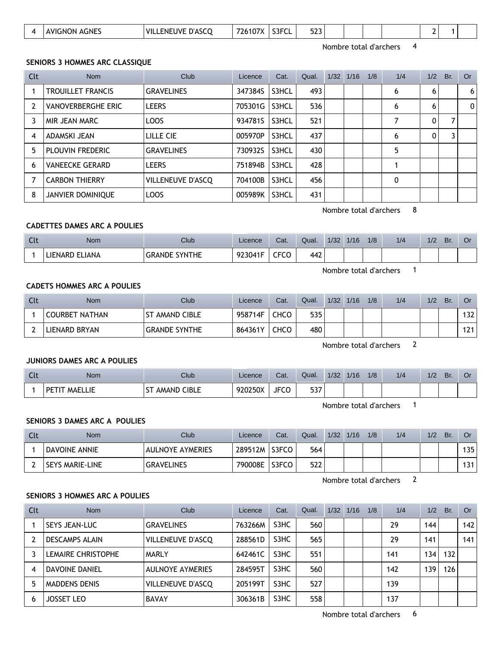| ---<br>S3FCI<br>ENEUVE D'ASCO<br>$-$<br>407V<br><b>AGNES</b><br>AVIGNON<br>VIL<br>′2610,<br>$\overline{\phantom{a}}$<br>---<br>◡∟ |
|-----------------------------------------------------------------------------------------------------------------------------------|
|-----------------------------------------------------------------------------------------------------------------------------------|

Nombre total d'archers 4

### **SENIORS 3 HOMMES ARC CLASSIQUE**

| Clt            | <b>Nom</b>                | Club              | Licence | Cat.  | Qual. | 1/32 1/16 | 1/8 | 1/4 | 1/2 | Br. | <b>Or</b> |
|----------------|---------------------------|-------------------|---------|-------|-------|-----------|-----|-----|-----|-----|-----------|
|                | <b>TROUILLET FRANCIS</b>  | <b>GRAVELINES</b> | 347384S | S3HCL | 493   |           |     | 6   | 6   |     | 6         |
| $\overline{2}$ | <b>VANOVERBERGHE ERIC</b> | <b>LEERS</b>      | 705301G | S3HCL | 536   |           |     | 6   | 6   |     | 0         |
| 3              | MIR JEAN MARC             | LOOS              | 934781S | S3HCL | 521   |           |     |     | 0   |     |           |
| 4              | ADAMSKI JEAN              | LILLE CIE         | 005970P | S3HCL | 437   |           |     | 6   | 0   |     |           |
| 5              | <b>PLOUVIN FREDERIC</b>   | <b>GRAVELINES</b> | 730932S | S3HCL | 430   |           |     | 5   |     |     |           |
| 6              | <b>VANEECKE GERARD</b>    | <b>LEERS</b>      | 751894B | S3HCL | 428   |           |     |     |     |     |           |
|                | <b>CARBON THIERRY</b>     | VILLENEUVE D'ASCQ | 704100B | S3HCL | 456   |           |     | 0   |     |     |           |
| 8              | <b>JANVIER DOMINIQUE</b>  | LOOS              | 005989K | S3HCL | 431   |           |     |     |     |     |           |

Nombre total d'archers 8

### **CADETTES DAMES ARC A POULIES**

| <b>Clt</b> | Nom            | Club                           | Licence           | Cat.                 | Qual. | 1/32 | 1/16 | 1/8 | 1/4 | $\sqrt{2}$<br>17Z | Br. | ◡ |
|------------|----------------|--------------------------------|-------------------|----------------------|-------|------|------|-----|-----|-------------------|-----|---|
|            | LIENARD ELIANA | <b>SYNTHE</b><br><b>GRANDE</b> | $\sim$<br>∵04∪د ـ | $- - - -$<br>UU<br>ີ | 442   |      |      |     |     |                   |     |   |

Nombre total d'archers 1

### **CADETS HOMMES ARC A POULIES**

| Clt | <b>Nom</b>            | Club                 | Licence | Cat.        | Qual. | 1/32 | 1/16 | 1/8 | 1/4 | 1/2 | Br. | <b>Or</b> |
|-----|-----------------------|----------------------|---------|-------------|-------|------|------|-----|-----|-----|-----|-----------|
|     | <b>COURBET NATHAN</b> | SΤ<br>TAMAND CIBLE   | 958714F | <b>CHCO</b> | 535   |      |      |     |     |     |     | 132       |
|     | LIENARD BRYAN         | <b>GRANDE SYNTHE</b> | 864361Y | CHCO        | 480   |      |      |     |     |     |     | 121       |

Nombre total d'archers 2

# **JUNIORS DAMES ARC A POULIES**

| $\sim$<br>nu v | <b>Nom</b>                   | Club                               | Licence | Cat.        | Qual.       | 1/32 | 1/1C<br>710 | 1/8 | 1/4 | 1/2 | Br. | Or |
|----------------|------------------------------|------------------------------------|---------|-------------|-------------|------|-------------|-----|-----|-----|-----|----|
|                | <b>MAELLIE</b><br><b>PET</b> | SΤ<br><b>CIBLE</b><br><b>AMAND</b> | 920250X | <b>JFCO</b> | につつ<br>วว / |      |             |     |     |     |     |    |

Nombre total d'archers 1

#### **SENIORS 3 DAMES ARC A POULIES**

| Clt | <b>Nom</b>             | <b>Club</b>             | Licence | Cat.  | Qual. | 1/32 | 1/16 | 1/8 | 1/4 | 1/2 | Br. | Or             |
|-----|------------------------|-------------------------|---------|-------|-------|------|------|-----|-----|-----|-----|----------------|
|     | <b>DAVOINE ANNIE</b>   | <b>AULNOYE AYMERIES</b> | 289512M | S3FCO | 564   |      |      |     |     |     |     | 135            |
|     | <b>SEYS MARIE-LINE</b> | <b>GRAVELINES</b>       | 790008E | S3FCO | 522   |      |      |     |     |     |     | 1 2 1<br>ا د ا |

Nombre total d'archers 2

# **SENIORS 3 HOMMES ARC A POULIES**

| Clt | <b>Nom</b>            | Club                     | Licence | Cat. | Qual. | 1/32 | 1/16 | 1/8 | 1/4 | 1/2              | Br. | Or  |
|-----|-----------------------|--------------------------|---------|------|-------|------|------|-----|-----|------------------|-----|-----|
|     | SEYS JEAN-LUC         | <b>GRAVELINES</b>        | 763266M | S3HC | 560   |      |      |     | 29  | 144              |     | 142 |
|     | <b>DESCAMPS ALAIN</b> | VILLENEUVE D'ASCQ        | 288561D | S3HC | 565   |      |      |     | 29  | 141              |     | 141 |
|     | LEMAIRE CHRISTOPHE    | MARLY                    | 642461C | S3HC | 551   |      |      |     | 141 | 134              | 132 |     |
| 4   | DAVOINE DANIEL        | <b>AULNOYE AYMERIES</b>  | 284595T | S3HC | 560   |      |      |     | 142 | 139 <sub>1</sub> | 126 |     |
|     | <b>MADDENS DENIS</b>  | <b>VILLENEUVE D'ASCO</b> | 205199T | S3HC | 527   |      |      |     | 139 |                  |     |     |
| h   | <b>JOSSET LEO</b>     | <b>BAVAY</b>             | 306361B | S3HC | 558   |      |      |     | 137 |                  |     |     |

Nombre total d'archers 6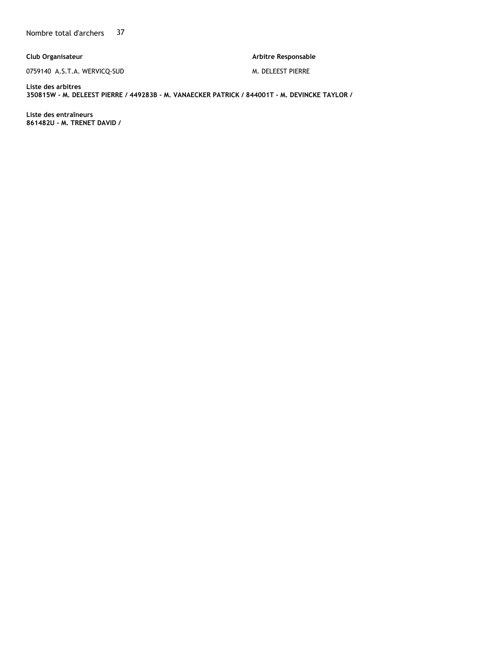**Club Organisateur**

0759140 A.S.T.A. WERVICQ-SUD

**Arbitre Responsable** 

M. DELEEST PIERRE

**Liste des arbitres 350815W - M. DELEEST PIERRE / 449283B - M. VANAECKER PATRICK / 844001T - M. DEVINCKE TAYLOR /** 

**Liste des entraîneurs 861482U - M. TRENET DAVID /**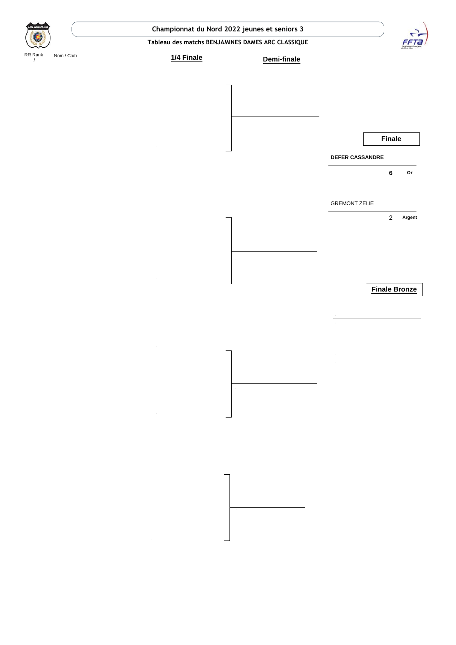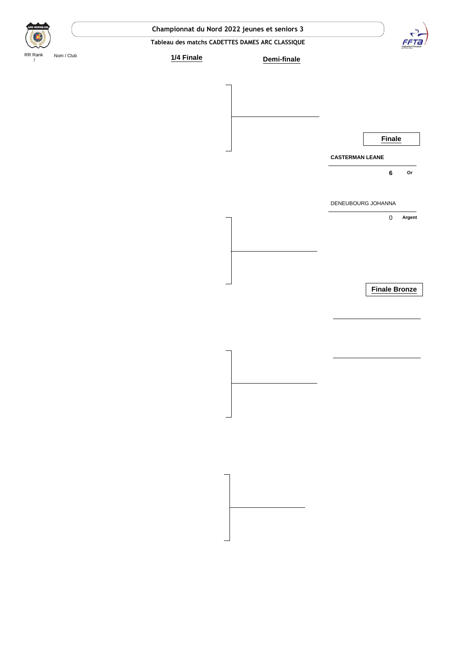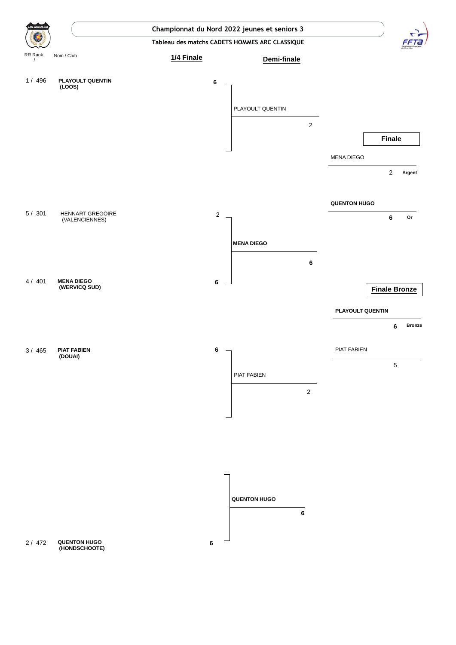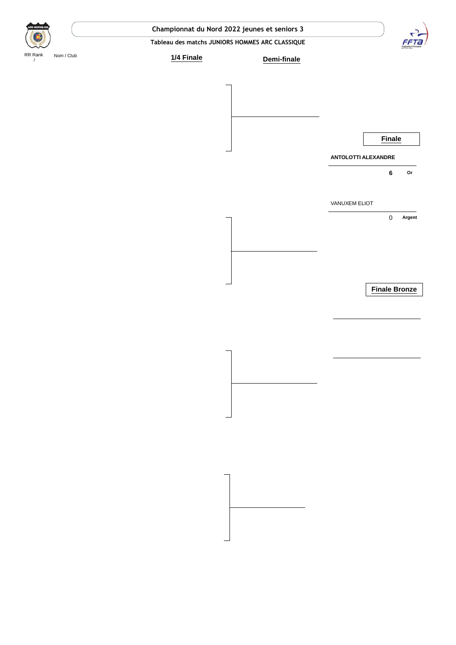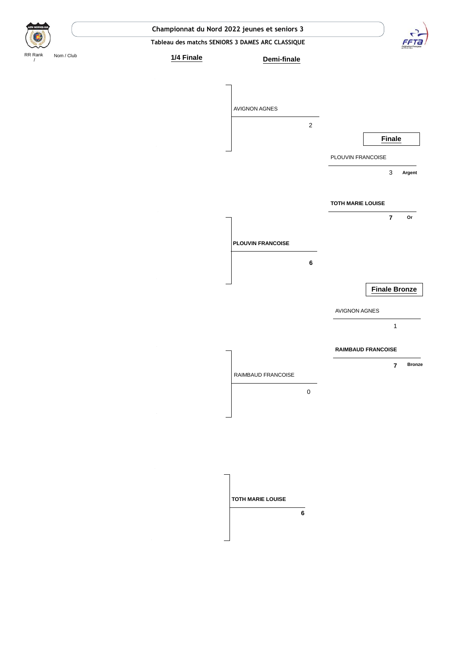**Tableau des matchs SENIORS 3 DAMES ARC CLASSIQUE**

 $\ddot{\phantom{a}}$ 



RR Rank Nom / Club

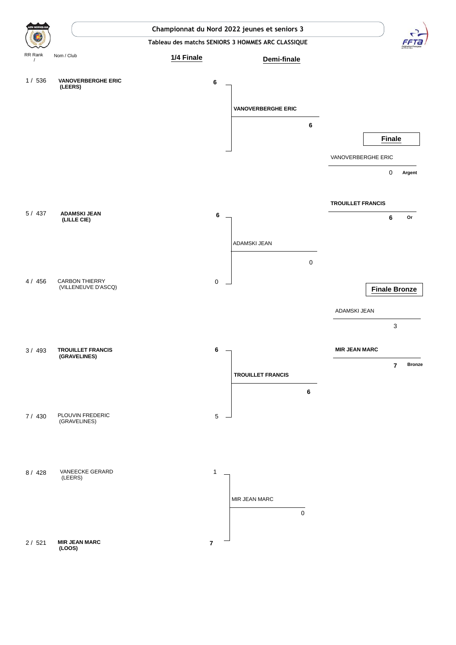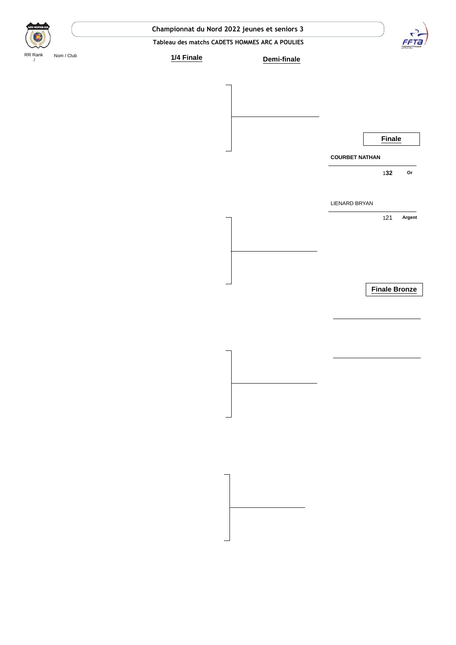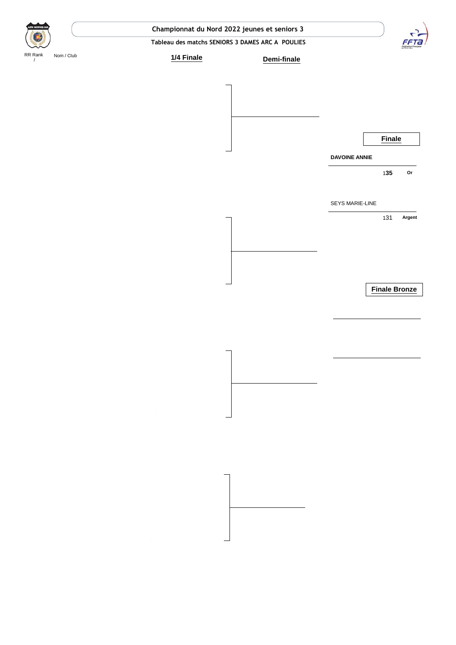